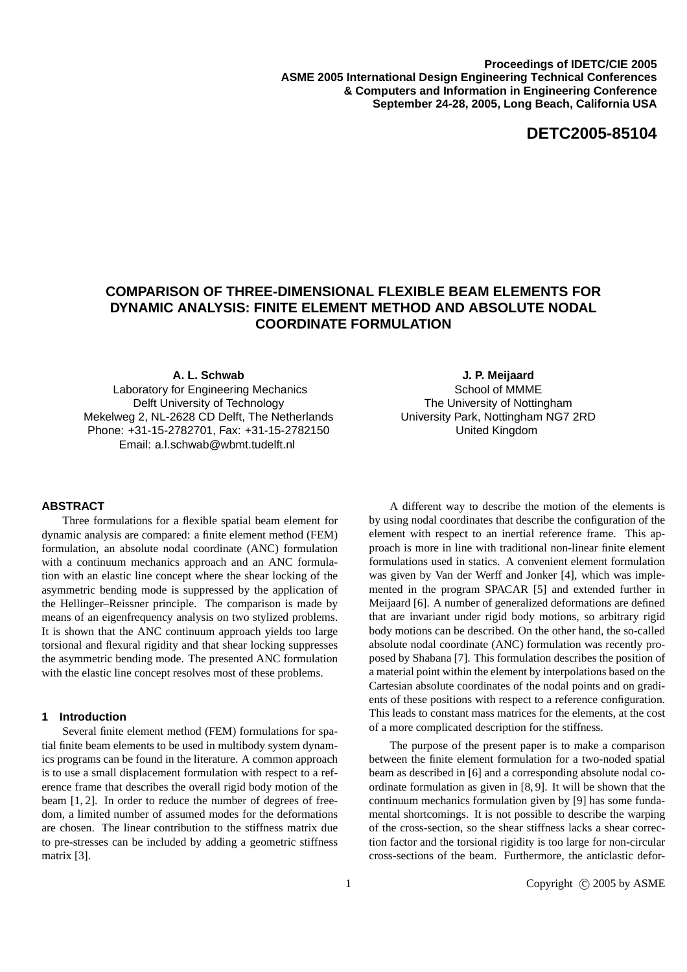#### **Proceedings of IDETC'05 DETC2005-85104ASME International Design Engineering Technical Conferences and**

# **COMPARISON OF THREE-DIMENSIONAL FLEXIBLE BEAM ELEMENTS FOR DYNAMIC ANALYSIS: FINITE ELEMENT METHOD AND ABSOLUTE NODAL COORDINATE FORMULATION**

**A. L. Schwab** Laboratory for Engineering Mechanics Delft University of Technology Mekelweg 2, NL-2628 CD Delft, The Netherlands Phone: +31-15-2782701, Fax: +31-15-2782150 Email: a.l.schwab@wbmt.tudelft.nl

**ABSTRACT**

Three formulations for a flexible spatial beam element for dynamic analysis are compared: a finite element method (FEM) formulation, an absolute nodal coordinate (ANC) formulation with a continuum mechanics approach and an ANC formulation with an elastic line concept where the shear locking of the asymmetric bending mode is suppressed by the application of the Hellinger–Reissner principle. The comparison is made by means of an eigenfrequency analysis on two stylized problems. It is shown that the ANC continuum approach yields too large torsional and flexural rigidity and that shear locking suppresses the asymmetric bending mode. The presented ANC formulation with the elastic line concept resolves most of these problems.

# **1 Introduction**

Several finite element method (FEM) formulations for spatial finite beam elements to be used in multibody system dynamics programs can be found in the literature. A common approach is to use a small displacement formulation with respect to a reference frame that describes the overall rigid body motion of the beam [1, 2]. In order to reduce the number of degrees of freedom, a limited number of assumed modes for the deformations are chosen. The linear contribution to the stiffness matrix due to pre-stresses can be included by adding a geometric stiffness matrix [3].

**J. P. Meijaard** School of MMME The University of Nottingham University Park, Nottingham NG7 2RD United Kingdom

A different way to describe the motion of the elements is by using nodal coordinates that describe the configuration of the element with respect to an inertial reference frame. This approach is more in line with traditional non-linear finite element formulations used in statics. A convenient element formulation was given by Van der Werff and Jonker [4], which was implemented in the program SPACAR [5] and extended further in Meijaard [6]. A number of generalized deformations are defined that are invariant under rigid body motions, so arbitrary rigid body motions can be described. On the other hand, the so-called absolute nodal coordinate (ANC) formulation was recently proposed by Shabana [7]. This formulation describes the position of a material point within the element by interpolations based on the Cartesian absolute coordinates of the nodal points and on gradients of these positions with respect to a reference configuration. This leads to constant mass matrices for the elements, at the cost of a more complicated description for the stiffness.

The purpose of the present paper is to make a comparison between the finite element formulation for a two-noded spatial beam as described in [6] and a corresponding absolute nodal coordinate formulation as given in [8, 9]. It will be shown that the continuum mechanics formulation given by [9] has some fundamental shortcomings. It is not possible to describe the warping of the cross-section, so the shear stiffness lacks a shear correction factor and the torsional rigidity is too large for non-circular cross-sections of the beam. Furthermore, the anticlastic defor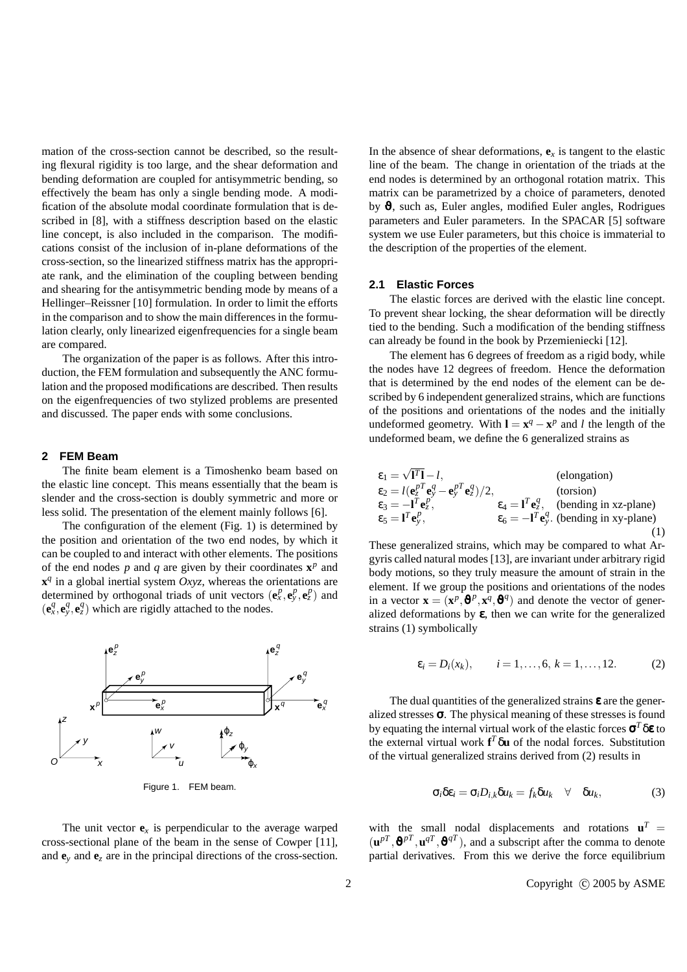mation of the cross-section cannot be described, so the resulting flexural rigidity is too large, and the shear deformation and bending deformation are coupled for antisymmetric bending, so effectively the beam has only a single bending mode. A modification of the absolute modal coordinate formulation that is described in [8], with a stiffness description based on the elastic line concept, is also included in the comparison. The modifications consist of the inclusion of in-plane deformations of the cross-section, so the linearized stiffness matrix has the appropriate rank, and the elimination of the coupling between bending and shearing for the antisymmetric bending mode by means of a Hellinger–Reissner [10] formulation. In order to limit the efforts in the comparison and to show the main differences in the formulation clearly, only linearized eigenfrequencies for a single beam are compared.

The organization of the paper is as follows. After this introduction, the FEM formulation and subsequently the ANC formulation and the proposed modifications are described. Then results on the eigenfrequencies of two stylized problems are presented and discussed. The paper ends with some conclusions.

#### **2 FEM Beam**

The finite beam element is a Timoshenko beam based on the elastic line concept. This means essentially that the beam is slender and the cross-section is doubly symmetric and more or less solid. The presentation of the element mainly follows [6].

The configuration of the element (Fig. 1) is determined by the position and orientation of the two end nodes, by which it can be coupled to and interact with other elements. The positions of the end nodes  $p$  and  $q$  are given by their coordinates  $\mathbf{x}^p$  and  $\mathbf{x}^q$  in a global inertial system *Oxyz*, whereas the orientations are determined by orthogonal triads of unit vectors  $(e_x^p, e_y^p, e_z^p)$  and  $(\mathbf{e}_x^q, \mathbf{e}_y^q, \mathbf{e}_z^q)$  which are rigidly attached to the nodes.



Figure 1. FEM beam.

The unit vector  $\mathbf{e}_x$  is perpendicular to the average warped cross-sectional plane of the beam in the sense of Cowper [11], and  $\mathbf{e}_y$  and  $\mathbf{e}_z$  are in the principal directions of the cross-section. In the absence of shear deformations,  $\mathbf{e}_r$  is tangent to the elastic line of the beam. The change in orientation of the triads at the end nodes is determined by an orthogonal rotation matrix. This matrix can be parametrized by a choice of parameters, denoted by  $\mathbf{\hat{v}}$ , such as, Euler angles, modified Euler angles, Rodrigues parameters and Euler parameters. In the SPACAR [5] software system we use Euler parameters, but this choice is immaterial to the description of the properties of the element.

## **2.1 Elastic Forces**

The elastic forces are derived with the elastic line concept. To prevent shear locking, the shear deformation will be directly tied to the bending. Such a modification of the bending stiffness can already be found in the book by Przemieniecki [12].

The element has 6 degrees of freedom as a rigid body, while the nodes have 12 degrees of freedom. Hence the deformation that is determined by the end nodes of the element can be described by 6 independent generalized strains, which are functions of the positions and orientations of the nodes and the initially undeformed geometry. With  $\mathbf{l} = \mathbf{x}^q - \mathbf{x}^p$  and *l* the length of the undeformed beam, we define the 6 generalized strains as

$$
\varepsilon_1 = \sqrt{11} - l,
$$
 (elongation)  
\n
$$
\varepsilon_2 = l(e_z^{pT} e_y^q - e_y^{pT} e_z^q)/2,
$$
 (torsion)  
\n
$$
\varepsilon_3 = -I^T e_z^p,
$$
 
$$
\varepsilon_4 = I^T e_z^q,
$$
 (bending in xz-plane)  
\n
$$
\varepsilon_5 = I^T e_y^p,
$$
 (bending in xy-plane)  
\n(1)

These generalized strains, which may be compared to what Argyris called natural modes[13], are invariant under arbitrary rigid body motions, so they truly measure the amount of strain in the element. If we group the positions and orientations of the nodes in a vector  $\mathbf{x} = (\mathbf{x}^p, \mathbf{\hat{v}}^p, \mathbf{x}^q, \mathbf{\hat{v}}^q)$  and denote the vector of generalized deformations by  $\varepsilon$ , then we can write for the generalized strains (1) symbolically

$$
\varepsilon_i = D_i(x_k), \qquad i = 1, ..., 6, k = 1, ..., 12.
$$
 (2)

The dual quantities of the generalized strains  $\varepsilon$  are the generalized stresses  $\sigma$ . The physical meaning of these stresses is found by equating the internal virtual work of the elastic forces σ *<sup>T</sup>* δε to the external virtual work  $f^T \delta u$  of the nodal forces. Substitution of the virtual generalized strains derived from (2) results in

$$
\sigma_i \delta \varepsilon_i = \sigma_i D_{i,k} \delta u_k = f_k \delta u_k \quad \forall \quad \delta u_k,
$$
 (3)

with the small nodal displacements and rotations  $\mathbf{u}^T =$  $(\mathbf{u}^{pT}, \mathbf{\hat{v}}^{pT}, \mathbf{u}^{qT}, \mathbf{\hat{v}}^{qT})$ , and a subscript after the comma to denote partial derivatives. From this we derive the force equilibrium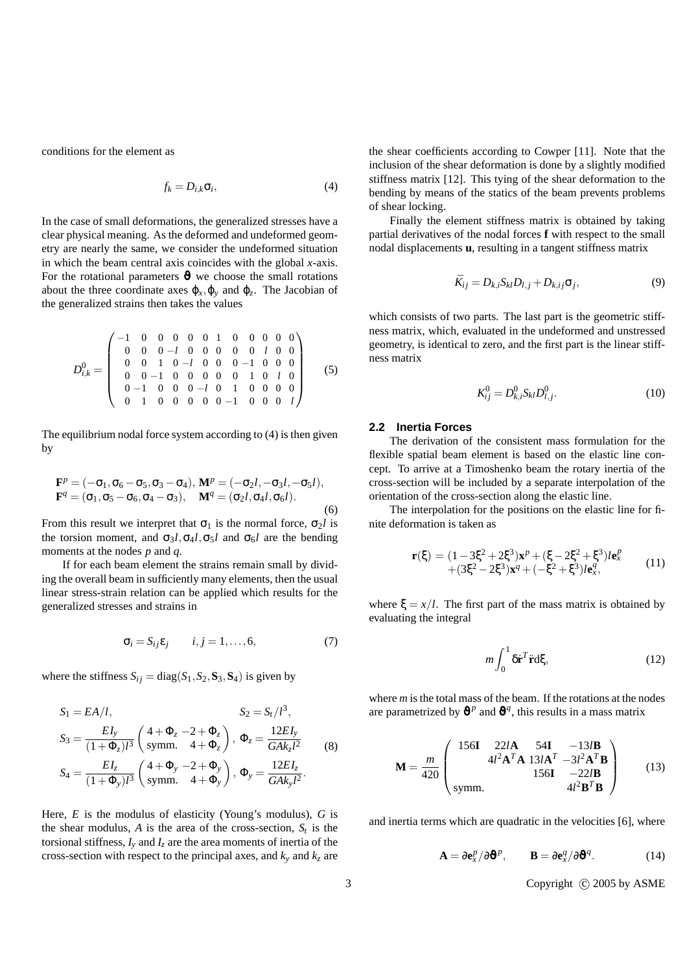conditions for the element as

$$
f_k = D_{i,k} \sigma_i, \tag{4}
$$

In the case of small deformations, the generalized stresses have a clear physical meaning. As the deformed and undeformed geometry are nearly the same, we consider the undeformed situation in which the beam central axis coincides with the global *x*-axis. For the rotational parameters  $\mathbf{\hat{v}}$  we choose the small rotations about the three coordinate axes  $\varphi_x, \varphi_y$  and  $\varphi_z$ . The Jacobian of the generalized strains then takes the values

$$
D_{i,k}^{0} = \begin{pmatrix} -1 & 0 & 0 & 0 & 0 & 0 & 1 & 0 & 0 & 0 & 0 & 0 \\ 0 & 0 & 0 & -1 & 0 & 0 & 0 & 0 & 0 & 1 & 0 & 0 \\ 0 & 0 & 1 & 0 & -1 & 0 & 0 & 0 & -1 & 0 & 0 & 0 \\ 0 & 0 & -1 & 0 & 0 & 0 & 0 & 0 & 1 & 0 & 1 & 0 \\ 0 & -1 & 0 & 0 & 0 & -1 & 0 & 1 & 0 & 0 & 0 & 0 \\ 0 & 1 & 0 & 0 & 0 & 0 & 0 & -1 & 0 & 0 & 0 & 1 \end{pmatrix}
$$
(5)

The equilibrium nodal force system according to (4) is then given by

$$
\mathbf{F}^p = (-\sigma_1, \sigma_6 - \sigma_5, \sigma_3 - \sigma_4), \mathbf{M}^p = (-\sigma_2 l, -\sigma_3 l, -\sigma_5 l), \n\mathbf{F}^q = (\sigma_1, \sigma_5 - \sigma_6, \sigma_4 - \sigma_3), \mathbf{M}^q = (\sigma_2 l, \sigma_4 l, \sigma_6 l).
$$
\n(6)

From this result we interpret that  $\sigma_1$  is the normal force,  $\sigma_2 l$  is the torsion moment, and  $\sigma_3 l$ ,  $\sigma_4 l$ ,  $\sigma_5 l$  and  $\sigma_6 l$  are the bending moments at the nodes *p* and *q*.

If for each beam element the strains remain small by dividing the overall beam in sufficiently many elements, then the usual linear stress-strain relation can be applied which results for the generalized stresses and strains in

$$
\sigma_i = S_{ij}\varepsilon_j \qquad i, j = 1, \dots, 6,
$$
\n(7)

where the stiffness  $S_{ij} = \text{diag}(S_1, S_2, S_3, S_4)$  is given by

$$
S_1 = EA/l, \t S_2 = S_t/l^3,
$$
  
\n
$$
S_3 = \frac{EI_y}{(1 + \Phi_z)l^3} \begin{pmatrix} 4 + \Phi_z - 2 + \Phi_z \\ \text{symm.} & 4 + \Phi_z \end{pmatrix}, \Phi_z = \frac{12EI_y}{GAk_zl^2}
$$
  
\n
$$
S_4 = \frac{EI_z}{(1 + \Phi_y)l^3} \begin{pmatrix} 4 + \Phi_y - 2 + \Phi_y \\ \text{symm.} & 4 + \Phi_y \end{pmatrix}, \Phi_y = \frac{12EI_z}{GAk_yl^2}.
$$
 (8)

Here, *E* is the modulus of elasticity (Young's modulus), *G* is the shear modulus,  $A$  is the area of the cross-section,  $S_t$  is the torsional stiffness,  $I<sub>y</sub>$  and  $I<sub>z</sub>$  are the area moments of inertia of the cross-section with respect to the principal axes, and  $k<sub>y</sub>$  and  $k<sub>z</sub>$  are the shear coefficients according to Cowper [11]. Note that the inclusion of the shear deformation is done by a slightly modified stiffness matrix [12]. This tying of the shear deformation to the bending by means of the statics of the beam prevents problems of shear locking.

Finally the element stiffness matrix is obtained by taking partial derivatives of the nodal forces **f** with respect to the small nodal displacements **u**, resulting in a tangent stiffness matrix

$$
\bar{K}_{ij} = D_{k,i} S_{kl} D_{l,j} + D_{k,ij} \sigma_j, \qquad (9)
$$

which consists of two parts. The last part is the geometric stiffness matrix, which, evaluated in the undeformed and unstressed geometry, is identical to zero, and the first part is the linear stiffness matrix

$$
K_{ij}^0 = D_{k,i}^0 S_{kl} D_{l,j}^0.
$$
 (10)

#### **2.2 Inertia Forces**

The derivation of the consistent mass formulation for the flexible spatial beam element is based on the elastic line concept. To arrive at a Timoshenko beam the rotary inertia of the cross-section will be included by a separate interpolation of the orientation of the cross-section along the elastic line.

The interpolation for the positions on the elastic line for finite deformation is taken as

$$
\mathbf{r}(\xi) = (1 - 3\xi^2 + 2\xi^3)\mathbf{x}^p + (\xi - 2\xi^2 + \xi^3)l\mathbf{e}_x^p
$$
  
 
$$
+ (3\xi^2 - 2\xi^3)\mathbf{x}^q + (-\xi^2 + \xi^3)l\mathbf{e}_x^q,
$$
 (11)

where  $\xi = x/l$ . The first part of the mass matrix is obtained by evaluating the integral

$$
m\int_0^1 \delta \dot{\mathbf{r}}^T \ddot{\mathbf{r}} \mathrm{d}\xi,\tag{12}
$$

where *m* is the total mass of the beam. If the rotations at the nodes are parametrized by  $\mathbf{\hat{v}}^p$  and  $\mathbf{\hat{v}}^q$ , this results in a mass matrix

$$
\mathbf{M} = \frac{m}{420} \begin{pmatrix} 156\mathbf{I} & 22l\mathbf{A} & 54\mathbf{I} & -13l\mathbf{B} \\ 4l^2\mathbf{A}^T\mathbf{A} & 13l\mathbf{A}^T & -3l^2\mathbf{A}^T\mathbf{B} \\ 156\mathbf{I} & -22l\mathbf{B} \\ \text{symm.} & 4l^2\mathbf{B}^T\mathbf{B} \end{pmatrix}
$$
(13)

and inertia terms which are quadratic in the velocities [6], where

$$
\mathbf{A} = \partial \mathbf{e}^p_{\mathbf{x}} / \partial \mathbf{\vartheta}^p, \qquad \mathbf{B} = \partial \mathbf{e}^q_{\mathbf{x}} / \partial \mathbf{\vartheta}^q. \tag{14}
$$

3 Copyright © 2005 by ASME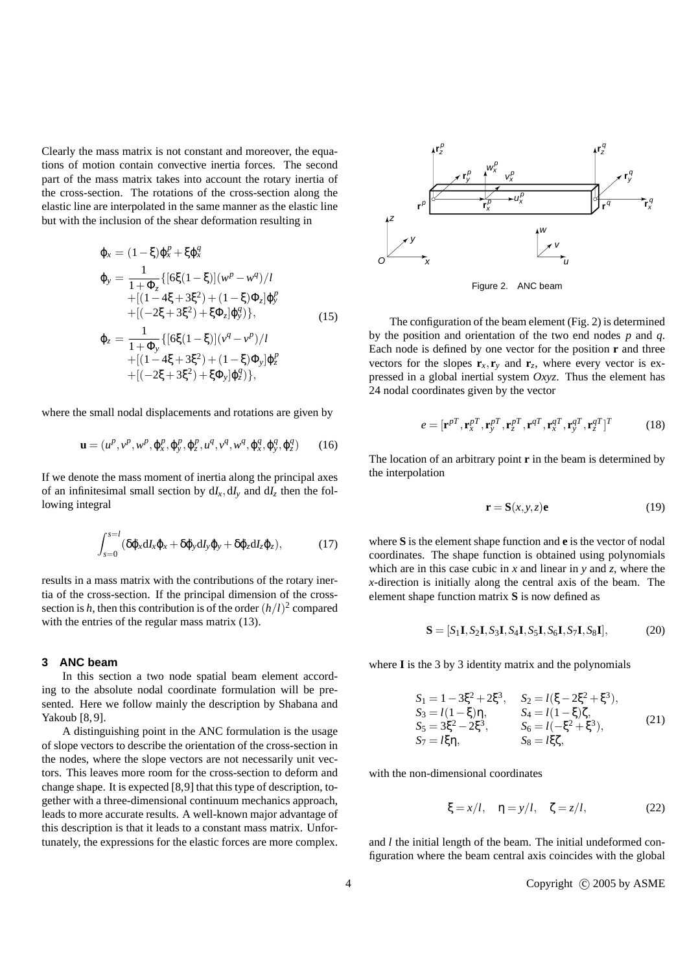Clearly the mass matrix is not constant and moreover, the equations of motion contain convective inertia forces. The second part of the mass matrix takes into account the rotary inertia of the cross-section. The rotations of the cross-section along the elastic line are interpolated in the same manner as the elastic line but with the inclusion of the shear deformation resulting in

$$
\varphi_x = (1 - \xi)\varphi_x^p + \xi\varphi_x^q
$$
  
\n
$$
\varphi_y = \frac{1}{1 + \Phi_z} \{ [6\xi(1 - \xi)](w^p - w^q) / l
$$
  
\n
$$
+ [(1 - 4\xi + 3\xi^2) + (1 - \xi)\Phi_z] \varphi_y^p
$$
  
\n
$$
+ [(-2\xi + 3\xi^2) + \xi\Phi_z] \varphi_y^q) \}, \qquad (15)
$$
  
\n
$$
\varphi_z = \frac{1}{1 + \Phi_y} \{ [6\xi(1 - \xi)](v^q - v^p) / l
$$
  
\n
$$
+ [(1 - 4\xi + 3\xi^2) + (1 - \xi)\Phi_y] \varphi_z^p
$$
  
\n
$$
+ [(-2\xi + 3\xi^2) + \xi\Phi_y] \varphi_z^q) \},
$$

where the small nodal displacements and rotations are given by

$$
\mathbf{u} = (u^p, v^p, w^p, \varphi_x^p, \varphi_y^p, \varphi_z^p, u^q, v^q, w^q, \varphi_x^q, \varphi_y^q, \varphi_z^q) \tag{16}
$$

If we denote the mass moment of inertia along the principal axes of an infinitesimal small section by  $dI_x$ ,  $dI_y$  and  $dI_z$  then the following integral

$$
\int_{s=0}^{s=l} (\delta \phi_x dI_x \ddot{\phi}_x + \delta \phi_y dI_y \ddot{\phi}_y + \delta \phi_z dI_z \ddot{\phi}_z), \qquad (17)
$$

results in a mass matrix with the contributions of the rotary inertia of the cross-section. If the principal dimension of the crosssection is *h*, then this contribution is of the order  $(h/l)^2$  compared with the entries of the regular mass matrix (13).

## **3 ANC beam**

In this section a two node spatial beam element according to the absolute nodal coordinate formulation will be presented. Here we follow mainly the description by Shabana and Yakoub [8, 9].

A distinguishing point in the ANC formulation is the usage of slope vectors to describe the orientation of the cross-section in the nodes, where the slope vectors are not necessarily unit vectors. This leaves more room for the cross-section to deform and change shape. It is expected [8,9] that this type of description, together with a three-dimensional continuum mechanics approach, leads to more accurate results. A well-known major advantage of this description is that it leads to a constant mass matrix. Unfortunately, the expressions for the elastic forces are more complex.



The configuration of the beam element (Fig. 2) is determined by the position and orientation of the two end nodes *p* and *q*. Each node is defined by one vector for the position **r** and three vectors for the slopes  $\mathbf{r}_x$ ,  $\mathbf{r}_y$  and  $\mathbf{r}_z$ , where every vector is expressed in a global inertial system *Oxyz*. Thus the element has 24 nodal coordinates given by the vector

$$
e = [\mathbf{r}^{pT}, \mathbf{r}_x^{pT}, \mathbf{r}_y^{pT}, \mathbf{r}_z^{pT}, \mathbf{r}^{qT}, \mathbf{r}_x^{qT}, \mathbf{r}_y^{qT}, \mathbf{r}_z^{qT}]^T
$$
(18)

The location of an arbitrary point **r** in the beam is determined by the interpolation

$$
\mathbf{r} = \mathbf{S}(x, y, z)\mathbf{e}
$$
 (19)

where **S** is the element shape function and **e** is the vector of nodal coordinates. The shape function is obtained using polynomials which are in this case cubic in *x* and linear in *y* and *z*, where the *x*-direction is initially along the central axis of the beam. The element shape function matrix **S** is now defined as

$$
\mathbf{S} = [S_1 \mathbf{I}, S_2 \mathbf{I}, S_3 \mathbf{I}, S_4 \mathbf{I}, S_5 \mathbf{I}, S_6 \mathbf{I}, S_7 \mathbf{I}, S_8 \mathbf{I}],
$$
(20)

where **I** is the 3 by 3 identity matrix and the polynomials

$$
S_1 = 1 - 3\xi^2 + 2\xi^3, \t S_2 = l(\xi - 2\xi^2 + \xi^3),\nS_3 = l(1 - \xi)\eta, \t S_4 = l(1 - \xi)\zeta, \nS_5 = 3\xi^2 - 2\xi^3, \t S_6 = l(-\xi^2 + \xi^3), \nS_7 = l\xi\eta, \t S_8 = l\xi\xi,
$$
\n(21)

with the non-dimensional coordinates

$$
\xi = x/l, \quad \eta = y/l, \quad \zeta = z/l,
$$
\n(22)

and *l* the initial length of the beam. The initial undeformed configuration where the beam central axis coincides with the global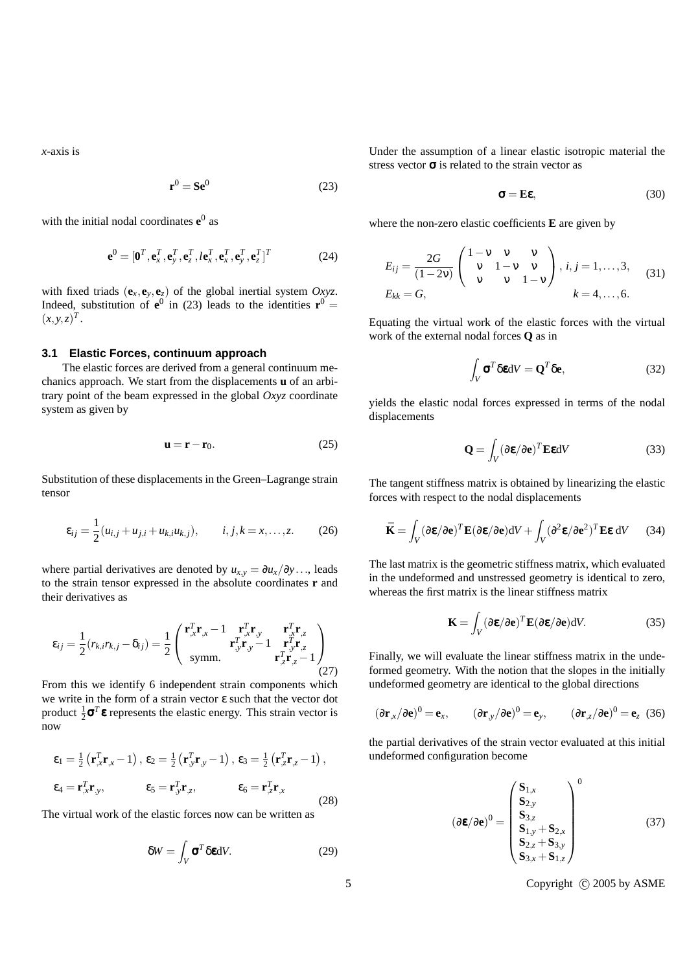*x*-axis is

$$
\mathbf{r}^0 = \mathbf{S} \mathbf{e}^0 \tag{23}
$$

with the initial nodal coordinates **e** 0 as

$$
\mathbf{e}^0 = [\mathbf{0}^T, \mathbf{e}_x^T, \mathbf{e}_y^T, \mathbf{e}_z^T, l\mathbf{e}_x^T, \mathbf{e}_x^T, \mathbf{e}_y^T, \mathbf{e}_z^T]^T
$$
(24)

with fixed triads  $(\mathbf{e}_x, \mathbf{e}_y, \mathbf{e}_z)$  of the global inertial system *Oxyz*. Indeed, substitution of  $e^0$  in (23) leads to the identities  $r^0 =$  $(x, y, z)^T$ .

#### **3.1 Elastic Forces, continuum approach**

The elastic forces are derived from a general continuum mechanics approach. We start from the displacements **u** of an arbitrary point of the beam expressed in the global *Oxyz* coordinate system as given by

$$
\mathbf{u} = \mathbf{r} - \mathbf{r}_0. \tag{25}
$$

Substitution of these displacements in the Green–Lagrange strain tensor

$$
\varepsilon_{ij} = \frac{1}{2}(u_{i,j} + u_{j,i} + u_{k,i}u_{k,j}), \qquad i, j, k = x, \dots, z.
$$
 (26)

where partial derivatives are denoted by  $u_{x,y} = \partial u_x / \partial y$ ..., leads to the strain tensor expressed in the absolute coordinates **r** and their derivatives as

$$
\varepsilon_{ij} = \frac{1}{2} (r_{k,i}r_{k,j} - \delta_{ij}) = \frac{1}{2} \begin{pmatrix} \mathbf{r}_{,x}^T \mathbf{r}_{,x} - 1 & \mathbf{r}_{,x}^T \mathbf{r}_{,y} & \mathbf{r}_{,x}^T \mathbf{r}_{,z} \\ \mathbf{r}_{,y}^T \mathbf{r}_{,y} - 1 & \mathbf{r}_{,y}^T \mathbf{r}_{,z} \\ \text{symm.} & \mathbf{r}_{,z}^T \mathbf{r}_{,z} - 1 \end{pmatrix}
$$
(27)

From this we identify 6 independent strain components which we write in the form of a strain vector ε such that the vector dot product  $\frac{1}{2}\sigma^T\epsilon$  represents the elastic energy. This strain vector is now

$$
\varepsilon_{1} = \frac{1}{2} \left( \mathbf{r}_{,x}^{T} \mathbf{r}_{,x} - 1 \right), \, \varepsilon_{2} = \frac{1}{2} \left( \mathbf{r}_{,y}^{T} \mathbf{r}_{,y} - 1 \right), \, \varepsilon_{3} = \frac{1}{2} \left( \mathbf{r}_{,z}^{T} \mathbf{r}_{,z} - 1 \right),
$$
\n
$$
\varepsilon_{4} = \mathbf{r}_{,x}^{T} \mathbf{r}_{,y}, \qquad \varepsilon_{5} = \mathbf{r}_{,y}^{T} \mathbf{r}_{,z}, \qquad \varepsilon_{6} = \mathbf{r}_{,z}^{T} \mathbf{r}_{,x}
$$
\n(28)

The virtual work of the elastic forces now can be written as

$$
\delta W = \int_{V} \sigma^{T} \delta \mathbf{\varepsilon} \mathrm{d}V. \tag{29}
$$

Under the assumption of a linear elastic isotropic material the stress vector  $\sigma$  is related to the strain vector as

$$
\sigma = \mathbf{E}\mathbf{\varepsilon},\tag{30}
$$

where the non-zero elastic coefficients **E** are given by

$$
E_{ij} = \frac{2G}{(1-2v)} \begin{pmatrix} 1-v & v & v \\ v & 1-v & v \\ v & v & 1-v \end{pmatrix}, i, j = 1,...,3, (31)
$$
  

$$
E_{kk} = G,
$$

Equating the virtual work of the elastic forces with the virtual work of the external nodal forces **Q** as in

$$
\int_{V} \sigma^{T} \delta \mathbf{\varepsilon} \mathrm{d}V = \mathbf{Q}^{T} \delta \mathbf{\varepsilon},\tag{32}
$$

yields the elastic nodal forces expressed in terms of the nodal displacements

$$
\mathbf{Q} = \int_{V} (\partial \boldsymbol{\varepsilon}/\partial \mathbf{e})^{T} \mathbf{E} \boldsymbol{\varepsilon} \mathrm{d}V \tag{33}
$$

The tangent stiffness matrix is obtained by linearizing the elastic forces with respect to the nodal displacements

$$
\mathbf{\bar{K}} = \int_{V} (\partial \mathbf{\varepsilon}/\partial \mathbf{e})^{T} \mathbf{E} (\partial \mathbf{\varepsilon}/\partial \mathbf{e}) dV + \int_{V} (\partial^{2} \mathbf{\varepsilon}/\partial \mathbf{e}^{2})^{T} \mathbf{E} \mathbf{\varepsilon} dV \qquad (34)
$$

The last matrix is the geometric stiffness matrix, which evaluated in the undeformed and unstressed geometry is identical to zero, whereas the first matrix is the linear stiffness matrix

$$
\mathbf{K} = \int_{V} (\partial \mathbf{\varepsilon}/\partial \mathbf{e})^{T} \mathbf{E} (\partial \mathbf{\varepsilon}/\partial \mathbf{e}) dV.
$$
 (35)

Finally, we will evaluate the linear stiffness matrix in the undeformed geometry. With the notion that the slopes in the initially undeformed geometry are identical to the global directions

$$
(\partial \mathbf{r}_{,x}/\partial \mathbf{e})^0 = \mathbf{e}_{x}, \qquad (\partial \mathbf{r}_{,y}/\partial \mathbf{e})^0 = \mathbf{e}_{y}, \qquad (\partial \mathbf{r}_{,z}/\partial \mathbf{e})^0 = \mathbf{e}_{z} \tag{36}
$$

the partial derivatives of the strain vector evaluated at this initial undeformed configuration become

$$
(\partial \mathbf{\varepsilon}/\partial \mathbf{e})^0 = \begin{pmatrix} \mathbf{S}_{1,x} \\ \mathbf{S}_{2,y} \\ \mathbf{S}_{3,z} \\ \mathbf{S}_{1,y} + \mathbf{S}_{2,x} \\ \mathbf{S}_{2,z} + \mathbf{S}_{3,y} \\ \mathbf{S}_{3,x} + \mathbf{S}_{1,z} \end{pmatrix} (37)
$$

5 Copyright  $\odot$  2005 by ASME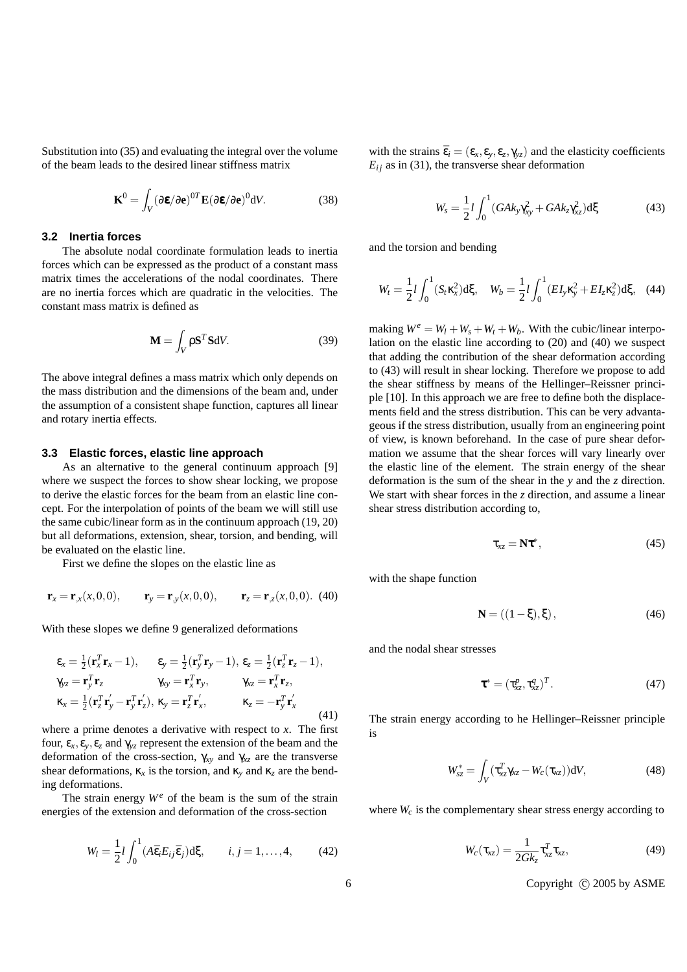Substitution into (35) and evaluating the integral over the volume of the beam leads to the desired linear stiffness matrix

$$
\mathbf{K}^{0} = \int_{V} (\partial \mathbf{\varepsilon}/\partial \mathbf{e})^{0T} \mathbf{E} (\partial \mathbf{\varepsilon}/\partial \mathbf{e})^{0} dV.
$$
 (38)

# **3.2 Inertia forces**

The absolute nodal coordinate formulation leads to inertia forces which can be expressed as the product of a constant mass matrix times the accelerations of the nodal coordinates. There are no inertia forces which are quadratic in the velocities. The constant mass matrix is defined as

$$
\mathbf{M} = \int_{V} \rho \mathbf{S}^{T} \mathbf{S} \mathrm{d}V. \tag{39}
$$

The above integral defines a mass matrix which only depends on the mass distribution and the dimensions of the beam and, under the assumption of a consistent shape function, captures all linear and rotary inertia effects.

#### **3.3 Elastic forces, elastic line approach**

As an alternative to the general continuum approach [9] where we suspect the forces to show shear locking, we propose to derive the elastic forces for the beam from an elastic line concept. For the interpolation of points of the beam we will still use the same cubic/linear form as in the continuum approach (19, 20) but all deformations, extension, shear, torsion, and bending, will be evaluated on the elastic line.

First we define the slopes on the elastic line as

$$
\mathbf{r}_x = \mathbf{r}_{,x}(x,0,0), \qquad \mathbf{r}_y = \mathbf{r}_{,y}(x,0,0), \qquad \mathbf{r}_z = \mathbf{r}_{,z}(x,0,0). \tag{40}
$$

With these slopes we define 9 generalized deformations

$$
\varepsilon_x = \frac{1}{2} (\mathbf{r}_x^T \mathbf{r}_x - 1), \quad \varepsilon_y = \frac{1}{2} (\mathbf{r}_y^T \mathbf{r}_y - 1), \quad \varepsilon_z = \frac{1}{2} (\mathbf{r}_z^T \mathbf{r}_z - 1),
$$
  
\n
$$
\gamma_{yz} = \mathbf{r}_y^T \mathbf{r}_z \qquad \gamma_{xy} = \mathbf{r}_x^T \mathbf{r}_y, \qquad \gamma_{xz} = \mathbf{r}_x^T \mathbf{r}_z,
$$
  
\n
$$
\kappa_x = \frac{1}{2} (\mathbf{r}_z^T \mathbf{r}_y' - \mathbf{r}_y^T \mathbf{r}_z'), \quad \kappa_y = \mathbf{r}_z^T \mathbf{r}_x', \qquad \kappa_z = -\mathbf{r}_y^T \mathbf{r}_x' \qquad (41)
$$

where a prime denotes a derivative with respect to *x*. The first four,  $\varepsilon_x$ ,  $\varepsilon_y$ ,  $\varepsilon_z$  and  $\gamma_{yz}$  represent the extension of the beam and the deformation of the cross-section, γ*xy* and γ*xz* are the transverse shear deformations,  $\kappa_x$  is the torsion, and  $\kappa_y$  and  $\kappa_z$  are the bending deformations.

The strain energy  $W^e$  of the beam is the sum of the strain energies of the extension and deformation of the cross-section

$$
W_l = \frac{1}{2}l \int_0^1 (A\bar{\varepsilon}_i E_{ij} \bar{\varepsilon}_j) d\xi, \qquad i, j = 1, ..., 4,
$$
 (42)

with the strains  $\bar{\mathbf{\varepsilon}}_i = (\varepsilon_x, \varepsilon_y, \varepsilon_z, \gamma_{yz})$  and the elasticity coefficients  $E_{ij}$  as in (31), the transverse shear deformation

$$
W_s = \frac{1}{2}l \int_0^1 (G A k_y \gamma_{xy}^2 + G A k_z \gamma_{xz}^2) d\xi
$$
 (43)

and the torsion and bending

$$
W_t = \frac{1}{2}l \int_0^1 (S_t \kappa_x^2) d\xi, \quad W_b = \frac{1}{2}l \int_0^1 (EI_y \kappa_y^2 + EI_z \kappa_z^2) d\xi, \quad (44)
$$

making  $W^e = W_l + W_s + W_t + W_b$ . With the cubic/linear interpolation on the elastic line according to (20) and (40) we suspect that adding the contribution of the shear deformation according to (43) will result in shear locking. Therefore we propose to add the shear stiffness by means of the Hellinger–Reissner principle [10]. In this approach we are free to define both the displacements field and the stress distribution. This can be very advantageous if the stress distribution, usually from an engineering point of view, is known beforehand. In the case of pure shear deformation we assume that the shear forces will vary linearly over the elastic line of the element. The strain energy of the shear deformation is the sum of the shear in the *y* and the *z* direction. We start with shear forces in the *z* direction, and assume a linear shear stress distribution according to,

$$
\tau_{xz} = \mathbf{N} \tau^*,\tag{45}
$$

with the shape function

$$
\mathbf{N} = ((1 - \xi), \xi), \tag{46}
$$

and the nodal shear stresses

$$
\boldsymbol{\tau}^* = (\tau_{xz}^p, \tau_{xz}^q)^T. \tag{47}
$$

The strain energy according to he Hellinger–Reissner principle is

$$
W_{sz}^* = \int_V (\tau_{xz}^T \gamma_{xz} - W_c(\tau_{xz})) dV, \qquad (48)
$$

where  $W_c$  is the complementary shear stress energy according to

$$
W_c(\tau_{xz}) = \frac{1}{2Gk_z} \tau_{xz}^T \tau_{xz},
$$
\n(49)

6 Copyright © 2005 by ASME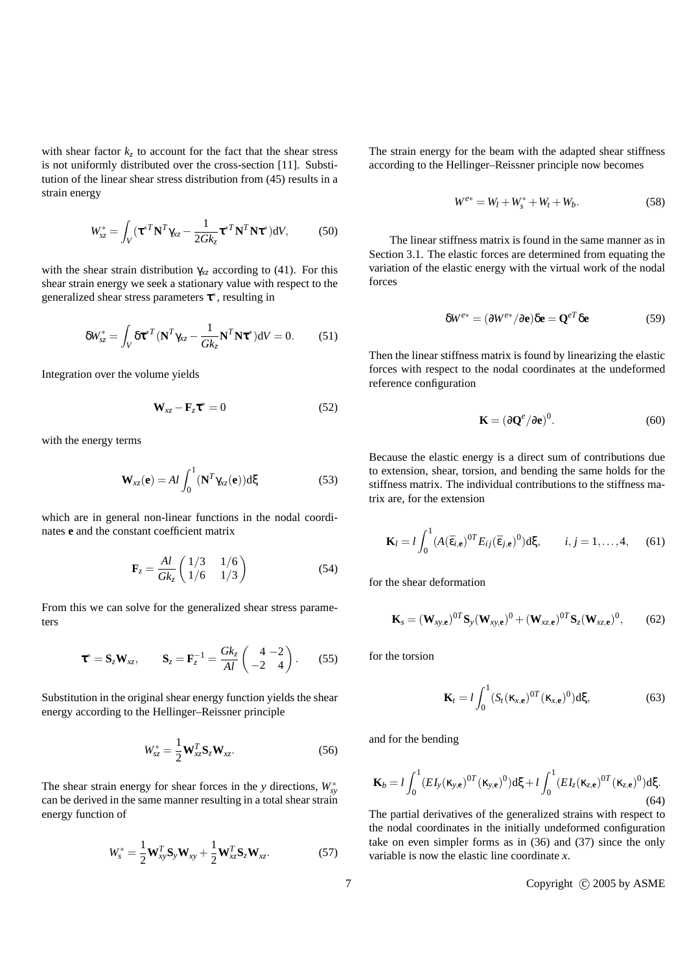with shear factor  $k_z$  to account for the fact that the shear stress is not uniformly distributed over the cross-section [11]. Substitution of the linear shear stress distribution from (45) results in a strain energy

$$
W_{sz}^* = \int_V (\boldsymbol{\tau}^{*T} \mathbf{N}^T \gamma_{xz} - \frac{1}{2Gk_z} \boldsymbol{\tau}^{*T} \mathbf{N}^T \mathbf{N} \boldsymbol{\tau}^*) dV, \tag{50}
$$

with the shear strain distribution  $\gamma_{xz}$  according to (41). For this shear strain energy we seek a stationary value with respect to the generalized shear stress parameters  $\tau^*$ , resulting in

$$
\delta W_{sz}^* = \int_V \delta \mathbf{\tau}^{*T} (\mathbf{N}^T \gamma_{xz} - \frac{1}{G k_z} \mathbf{N}^T \mathbf{N} \mathbf{\tau}^*) dV = 0. \quad (51)
$$

Integration over the volume yields

$$
\mathbf{W}_{xz} - \mathbf{F}_z \mathbf{\tau}^* = 0 \tag{52}
$$

with the energy terms

$$
\mathbf{W}_{xz}(\mathbf{e}) = A l \int_0^1 (\mathbf{N}^T \gamma_{xz}(\mathbf{e})) d\xi
$$
 (53)

which are in general non-linear functions in the nodal coordinates **e** and the constant coefficient matrix

$$
\mathbf{F}_z = \frac{Al}{Gk_z} \begin{pmatrix} 1/3 & 1/6 \\ 1/6 & 1/3 \end{pmatrix}
$$
 (54)

From this we can solve for the generalized shear stress parameters

$$
\boldsymbol{\tau}^* = \mathbf{S}_z \mathbf{W}_{xz}, \qquad \mathbf{S}_z = \mathbf{F}_z^{-1} = \frac{Gk_z}{Al} \begin{pmatrix} 4 & -2 \\ -2 & 4 \end{pmatrix}.
$$
 (55)

Substitution in the original shear energy function yields the shear energy according to the Hellinger–Reissner principle

$$
W_{sz}^* = \frac{1}{2} \mathbf{W}_{xz}^T \mathbf{S}_z \mathbf{W}_{xz}.
$$
 (56)

The shear strain energy for shear forces in the *y* directions, *W*<sup>∗</sup> *sy* can be derived in the same manner resulting in a total shear strain energy function of

$$
W_s^* = \frac{1}{2} \mathbf{W}_{xy}^T \mathbf{S}_y \mathbf{W}_{xy} + \frac{1}{2} \mathbf{W}_{xz}^T \mathbf{S}_z \mathbf{W}_{xz}.
$$
 (57)

The strain energy for the beam with the adapted shear stiffness according to the Hellinger–Reissner principle now becomes

$$
W^{e*} = W_l + W_s^* + W_t + W_b.
$$
 (58)

The linear stiffness matrix is found in the same manner as in Section 3.1. The elastic forces are determined from equating the variation of the elastic energy with the virtual work of the nodal forces

$$
\delta W^{e*} = (\partial W^{e*} / \partial \mathbf{e}) \delta \mathbf{e} = \mathbf{Q}^{eT} \delta \mathbf{e}
$$
 (59)

Then the linear stiffness matrix is found by linearizing the elastic forces with respect to the nodal coordinates at the undeformed reference configuration

$$
\mathbf{K} = (\partial \mathbf{Q}^e / \partial \mathbf{e})^0. \tag{60}
$$

Because the elastic energy is a direct sum of contributions due to extension, shear, torsion, and bending the same holds for the stiffness matrix. The individual contributions to the stiffness matrix are, for the extension

$$
\mathbf{K}_{l} = l \int_{0}^{1} (A(\bar{\varepsilon}_{i,\mathbf{e}})^{0T} E_{ij}(\bar{\varepsilon}_{j,\mathbf{e}})^{0}) d\xi, \qquad i, j = 1, ..., 4, \quad (61)
$$

for the shear deformation

$$
\mathbf{K}_{s} = (\mathbf{W}_{xy,\mathbf{e}})^{0} \mathbf{S}_{y} (\mathbf{W}_{xy,\mathbf{e}})^{0} + (\mathbf{W}_{xz,\mathbf{e}})^{0} \mathbf{S}_{z} (\mathbf{W}_{xz,\mathbf{e}})^{0}, \quad (62)
$$

for the torsion

$$
\mathbf{K}_{t} = l \int_{0}^{1} (S_{t}(\kappa_{x,\mathbf{e}})^{0}(\kappa_{x,\mathbf{e}})^{0}) d\xi, \tag{63}
$$

and for the bending

$$
\mathbf{K}_b = l \int_0^1 (EI_\mathbf{y}(\kappa_{\mathbf{y},\mathbf{e}})^{0T} (\kappa_{\mathbf{y},\mathbf{e}})^0) d\xi + l \int_0^1 (EI_\mathbf{z}(\kappa_{\mathbf{z},\mathbf{e}})^{0T} (\kappa_{\mathbf{z},\mathbf{e}})^0) d\xi.
$$
\n(64)

The partial derivatives of the generalized strains with respect to the nodal coordinates in the initially undeformed configuration take on even simpler forms as in (36) and (37) since the only variable is now the elastic line coordinate *x*.

7 Copyright  $\odot$  2005 by ASME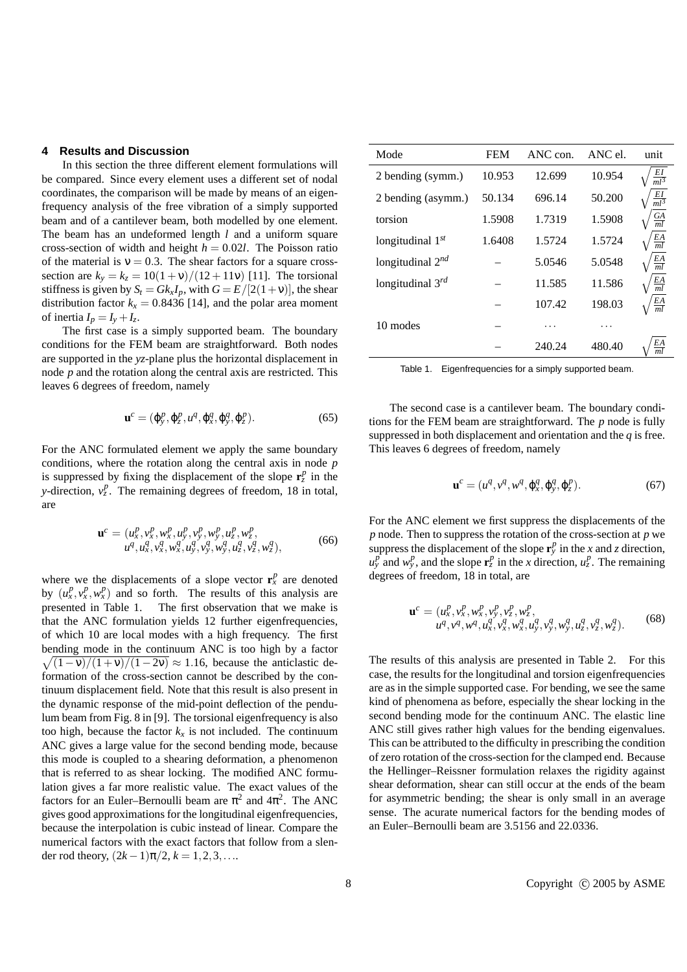#### **4 Results and Discussion**

In this section the three different element formulations will be compared. Since every element uses a different set of nodal coordinates, the comparison will be made by means of an eigenfrequency analysis of the free vibration of a simply supported beam and of a cantilever beam, both modelled by one element. The beam has an undeformed length *l* and a uniform square cross-section of width and height  $h = 0.02l$ . The Poisson ratio of the material is  $v = 0.3$ . The shear factors for a square crosssection are  $k_y = k_z = 10(1 + v)/(12 + 11v)$  [11]. The torsional stiffness is given by  $S_t = Gk_xI_p$ , with  $G = E/[2(1+\nu)]$ , the shear distribution factor  $k_x = 0.8436$  [14], and the polar area moment of inertia  $I_p = I_y + I_z$ .

The first case is a simply supported beam. The boundary conditions for the FEM beam are straightforward. Both nodes are supported in the *yz*-plane plus the horizontal displacement in node *p* and the rotation along the central axis are restricted. This leaves 6 degrees of freedom, namely

$$
\mathbf{u}^c = (\varphi_y^p, \varphi_z^p, u^q, \varphi_x^q, \varphi_y^q, \varphi_z^p). \tag{65}
$$

For the ANC formulated element we apply the same boundary conditions, where the rotation along the central axis in node *p* is suppressed by fixing the displacement of the slope  $\mathbf{r}_z^p$  in the *y*-direction,  $v_z^p$ . The remaining degrees of freedom, 18 in total, are

$$
\mathbf{u}^{c} = (u_{x}^{p}, v_{x}^{p}, w_{x}^{p}, u_{y}^{p}, v_{y}^{p}, w_{y}^{p}, u_{z}^{p}, w_{z}^{p}, w_{z}^{p}) u^{q}, u_{x}^{q}, v_{x}^{q}, w_{x}^{q}, u_{y}^{q}, v_{y}^{q}, w_{y}^{q}, u_{z}^{q}, v_{z}^{q}, w_{z}^{q}),
$$
(66)

where we the displacements of a slope vector  $\mathbf{r}^p_{\mathcal{X}}$  are denoted by  $(u_x^p, v_x^p, w_x^p)$  and so forth. The results of this analysis are presented in Table 1. The first observation that we make is that the ANC formulation yields 12 further eigenfrequencies, of which 10 are local modes with a high frequency. The first bending mode in the continuum ANC is too high by a factor  $\sqrt{(1-v)/(1+v)/(1-2v)} \approx 1.16$ , because the anticlastic deformation of the cross-section cannot be described by the continuum displacement field. Note that this result is also present in the dynamic response of the mid-point deflection of the pendulum beam from Fig. 8 in [9]. The torsional eigenfrequency is also too high, because the factor  $k_x$  is not included. The continuum ANC gives a large value for the second bending mode, because this mode is coupled to a shearing deformation, a phenomenon that is referred to as shear locking. The modified ANC formulation gives a far more realistic value. The exact values of the factors for an Euler–Bernoulli beam are  $\pi^2$  and  $4\pi^2$ . The ANC gives good approximations for the longitudinal eigenfrequencies, because the interpolation is cubic instead of linear. Compare the numerical factors with the exact factors that follow from a slender rod theory,  $(2k-1)\pi/2$ ,  $k = 1, 2, 3, \ldots$ .

| Mode                  | <b>FEM</b> | ANC con. | ANC el. | unit            |
|-----------------------|------------|----------|---------|-----------------|
| 2 bending (symm.)     | 10.953     | 12.699   | 10.954  | $rac{EI}{ml^3}$ |
| 2 bending (asymm.)    | 50.134     | 696.14   | 50.200  | $rac{EI}{ml^3}$ |
| torsion               | 1.5908     | 1.7319   | 1.5908  | $\frac{GA}{ml}$ |
| longitudinal $1^{st}$ | 1.6408     | 1.5724   | 1.5724  | $rac{EA}{ml}$   |
| longitudinal $2^{nd}$ |            | 5.0546   | 5.0548  | $rac{EA}{ml}$   |
| longitudinal $3^{rd}$ |            | 11.585   | 11.586  | $\frac{EA}{ml}$ |
|                       |            | 107.42   | 198.03  | $rac{EA}{ml}$   |
| 10 modes              |            |          |         |                 |
|                       |            | 240.24   | 480.40  | $\frac{EA}{ml}$ |

Table 1. Eigenfrequencies for a simply supported beam.

The second case is a cantilever beam. The boundary conditions for the FEM beam are straightforward. The *p* node is fully suppressed in both displacement and orientation and the *q* is free. This leaves 6 degrees of freedom, namely

$$
\mathbf{u}^c = (u^q, v^q, w^q, \varphi_x^q, \varphi_y^q, \varphi_z^p). \tag{67}
$$

For the ANC element we first suppress the displacements of the *p* node. Then to suppress the rotation of the cross-section at *p* we suppress the displacement of the slope  $\mathbf{r}_y^p$  in the *x* and *z* direction,  $u_y^p$  and  $w_y^p$ , and the slope  $\mathbf{r}_z^p$  in the *x* direction,  $u_z^p$ . The remaining degrees of freedom, 18 in total, are

$$
\mathbf{u}^{c} = (u_{x}^{p}, v_{x}^{p}, w_{x}^{p}, v_{y}^{p}, v_{z}^{p}, w_{z}^{p}, w_{z}^{p}, w_{y}^{q}, u_{y}^{q}, v_{y}^{q}, w_{y}^{q}, u_{y}^{q}, v_{y}^{q}, w_{y}^{q}, w_{y}^{q}, w_{z}^{q}, w_{z}^{q}, w_{z}^{q}).
$$
\n(68)

The results of this analysis are presented in Table 2. For this case, the results for the longitudinal and torsion eigenfrequencies are as in the simple supported case. For bending, we see the same kind of phenomena as before, especially the shear locking in the second bending mode for the continuum ANC. The elastic line ANC still gives rather high values for the bending eigenvalues. This can be attributed to the difficulty in prescribing the condition of zero rotation of the cross-section for the clamped end. Because the Hellinger–Reissner formulation relaxes the rigidity against shear deformation, shear can still occur at the ends of the beam for asymmetric bending; the shear is only small in an average sense. The acurate numerical factors for the bending modes of an Euler–Bernoulli beam are 3.5156 and 22.0336.